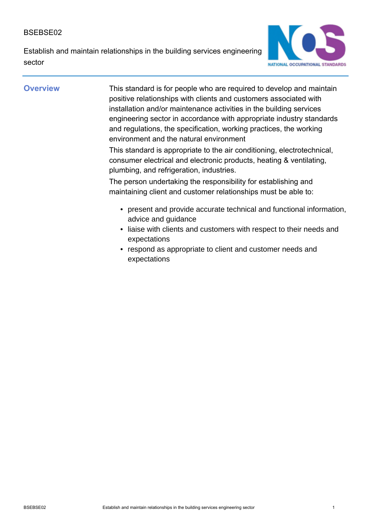Establish and maintain relationships in the building services engineering sector



**Overview** This standard is for people who are required to develop and maintain positive relationships with clients and customers associated with installation and/or maintenance activities in the building services engineering sector in accordance with appropriate industry standards and regulations, the specification, working practices, the working environment and the natural environment

> This standard is appropriate to the air conditioning, electrotechnical, consumer electrical and electronic products, heating & ventilating, plumbing, and refrigeration, industries.

The person undertaking the responsibility for establishing and maintaining client and customer relationships must be able to:

- present and provide accurate technical and functional information, advice and guidance
- liaise with clients and customers with respect to their needs and expectations
- respond as appropriate to client and customer needs and expectations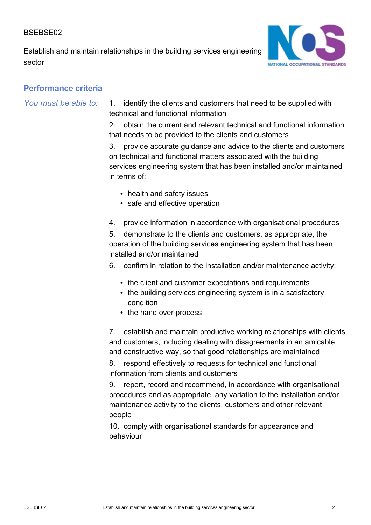Establish and maintain relationships in the building services engineering sector



# **Performance criteria**

*You must be able to:* 1. identify the clients and customers that need to be supplied with technical and functional information

> 2. obtain the current and relevant technical and functional information that needs to be provided to the clients and customers

> 3. provide accurate guidance and advice to the clients and customers on technical and functional matters associated with the building services engineering system that has been installed and/or maintained in terms of:

- health and safety issues
- safe and effective operation
- 4. provide information in accordance with organisational procedures

5. demonstrate to the clients and customers, as appropriate, the operation of the building services engineering system that has been installed and/or maintained

6. confirm in relation to the installation and/or maintenance activity:

- the client and customer expectations and requirements
- the building services engineering system is in a satisfactory condition
- the hand over process

7. establish and maintain productive working relationships with clients and customers, including dealing with disagreements in an amicable and constructive way, so that good relationships are maintained

8. respond effectively to requests for technical and functional information from clients and customers

9. report, record and recommend, in accordance with organisational procedures and as appropriate, any variation to the installation and/or maintenance activity to the clients, customers and other relevant people

10. comply with organisational standards for appearance and behaviour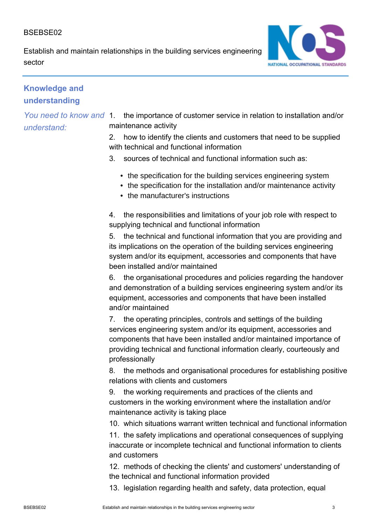Establish and maintain relationships in the building services engineering sector



# **Knowledge and understanding**

*You need to know and understand:*

1. the importance of customer service in relation to installation and/or maintenance activity

2. how to identify the clients and customers that need to be supplied with technical and functional information

- 3. sources of technical and functional information such as:
	- the specification for the building services engineering system
	- the specification for the installation and/or maintenance activity
	- the manufacturer's instructions

4. the responsibilities and limitations of your job role with respect to supplying technical and functional information

5. the technical and functional information that you are providing and its implications on the operation of the building services engineering system and/or its equipment, accessories and components that have been installed and/or maintained

6. the organisational procedures and policies regarding the handover and demonstration of a building services engineering system and/or its equipment, accessories and components that have been installed and/or maintained

7. the operating principles, controls and settings of the building services engineering system and/or its equipment, accessories and components that have been installed and/or maintained importance of providing technical and functional information clearly, courteously and professionally

8. the methods and organisational procedures for establishing positive relations with clients and customers

9. the working requirements and practices of the clients and customers in the working environment where the installation and/or maintenance activity is taking place

10. which situations warrant written technical and functional information

11. the safety implications and operational consequences of supplying inaccurate or incomplete technical and functional information to clients and customers

12. methods of checking the clients' and customers' understanding of the technical and functional information provided

13. legislation regarding health and safety, data protection, equal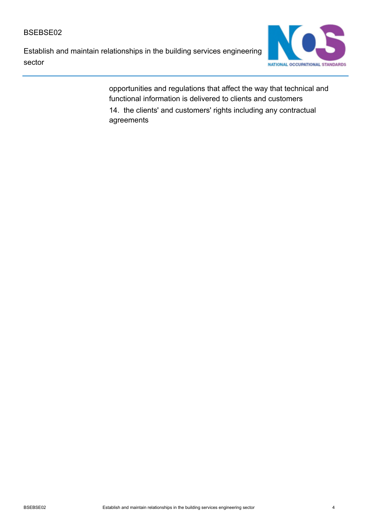Establish and maintain relationships in the building services engineering sector



opportunities and regulations that affect the way that technical and functional information is delivered to clients and customers 14. the clients' and customers' rights including any contractual agreements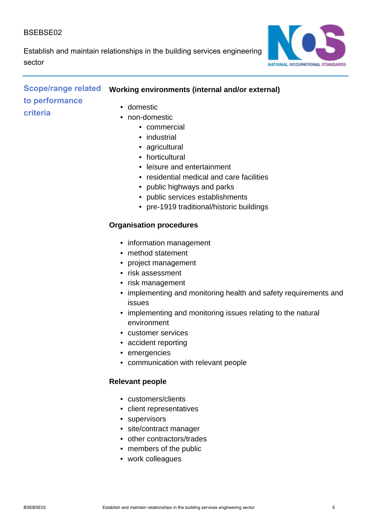Establish and maintain relationships in the building services engineering sector



# **Scope/range related to performance criteria**

# **Working environments (internal and/or external)**

- domestic
- non-domestic
	- commercial
	- industrial
	- agricultural
	- horticultural
	- leisure and entertainment
	- residential medical and care facilities
	- public highways and parks
	- public services establishments
	- pre-1919 traditional/historic buildings

### **Organisation procedures**

- information management
- method statement
- project management
- risk assessment
- risk management
- implementing and monitoring health and safety requirements and issues
- implementing and monitoring issues relating to the natural environment
- customer services
- accident reporting
- emergencies
- communication with relevant people

# **Relevant people**

- customers/clients
- client representatives
- supervisors
- site/contract manager
- other contractors/trades
- members of the public
- work colleagues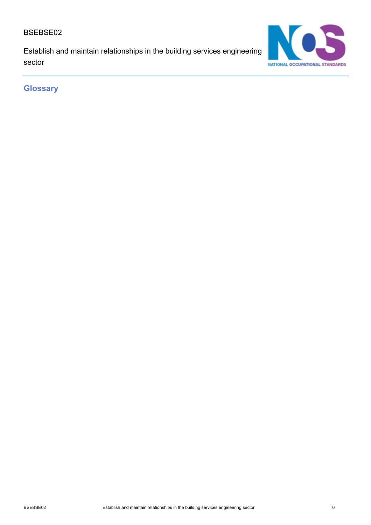Establish and maintain relationships in the building services engineering sector



**Glossary**